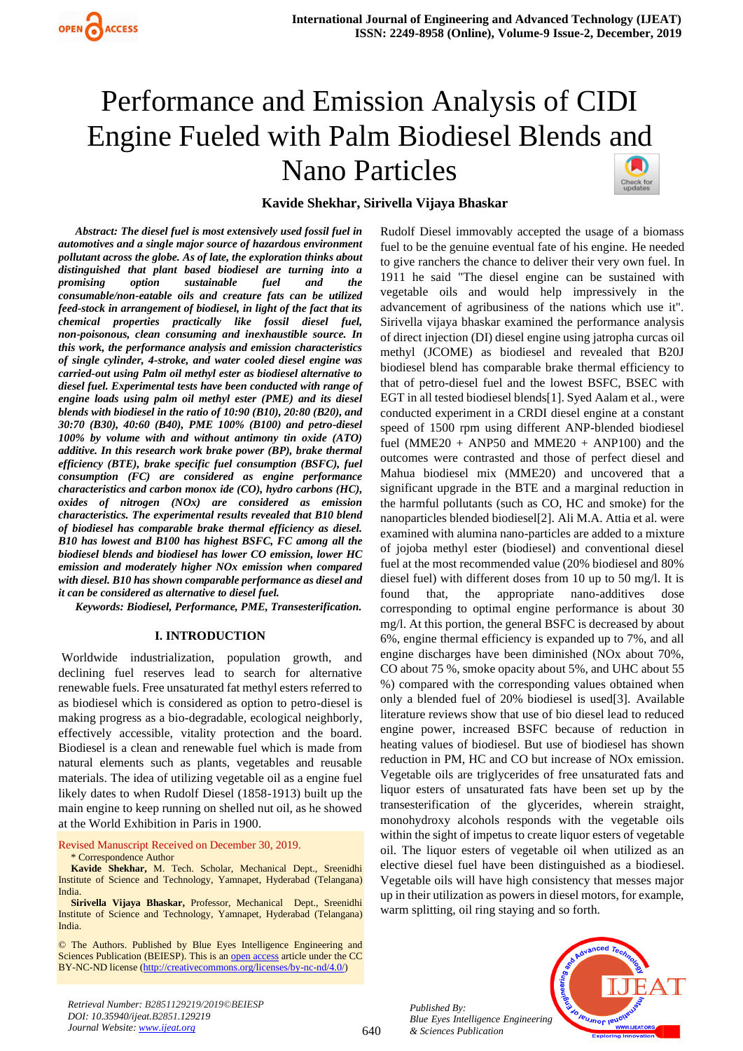# Performance and Emission Analysis of CIDI Engine Fueled with Palm Biodiesel Blends and Nano Particles



# **Kavide Shekhar, Sirivella Vijaya Bhaskar**

*Abstract: The diesel fuel is most extensively used fossil fuel in automotives and a single major source of hazardous environment pollutant across the globe. As of late, the exploration thinks about distinguished that plant based biodiesel are turning into a promising option sustainable fuel and the consumable/non-eatable oils and creature fats can be utilized feed-stock in arrangement of biodiesel, in light of the fact that its chemical properties practically like fossil diesel fuel, non-poisonous, clean consuming and inexhaustible source. In this work, the performance analysis and emission characteristics of single cylinder, 4-stroke, and water cooled diesel engine was carried-out using Palm oil methyl ester as biodiesel alternative to diesel fuel. Experimental tests have been conducted with range of engine loads using palm oil methyl ester (PME) and its diesel blends with biodiesel in the ratio of 10:90 (B10), 20:80 (B20), and 30:70 (B30), 40:60 (B40), PME 100% (B100) and petro-diesel 100% by volume with and without antimony tin oxide (ATO) additive. In this research work brake power (BP), brake thermal efficiency (BTE), brake specific fuel consumption (BSFC), fuel consumption (FC) are considered as engine performance characteristics and carbon monox ide (CO), hydro carbons (HC), oxides of nitrogen (NOx) are considered as emission characteristics. The experimental results revealed that B10 blend of biodiesel has comparable brake thermal efficiency as diesel. B10 has lowest and B100 has highest BSFC, FC among all the biodiesel blends and biodiesel has lower CO emission, lower HC emission and moderately higher NOx emission when compared with diesel. B10 has shown comparable performance as diesel and it can be considered as alternative to diesel fuel.* 

*Keywords: Biodiesel, Performance, PME, Transesterification.*

#### **I. INTRODUCTION**

Worldwide industrialization, population growth, and declining fuel reserves lead to search for alternative renewable fuels. Free unsaturated fat methyl esters referred to as biodiesel which is considered as option to petro-diesel is making progress as a bio-degradable, ecological neighborly, effectively accessible, vitality protection and the board. Biodiesel is a clean and renewable fuel which is made from natural elements such as plants, vegetables and reusable materials. The idea of utilizing vegetable oil as a engine fuel likely dates to when Rudolf Diesel (1858-1913) built up the main engine to keep running on shelled nut oil, as he showed at the World Exhibition in Paris in 1900.

Revised Manuscript Received on December 30, 2019.

\* Correspondence Author

**Kavide Shekhar,** M. Tech. Scholar, Mechanical Dept., Sreenidhi Institute of Science and Technology, Yamnapet, Hyderabad (Telangana) India.

**Sirivella Vijaya Bhaskar,** Professor, Mechanical Dept., Sreenidhi Institute of Science and Technology, Yamnapet, Hyderabad (Telangana) India.

© The Authors. Published by Blue Eyes Intelligence Engineering and Sciences Publication (BEIESP). This is a[n open access](https://www.openaccess.nl/en/open-publications) article under the CC BY-NC-ND license [\(http://creativecommons.org/licenses/by-nc-nd/4.0/\)](http://creativecommons.org/licenses/by-nc-nd/4.0/)

Rudolf Diesel immovably accepted the usage of a biomass fuel to be the genuine eventual fate of his engine. He needed to give ranchers the chance to deliver their very own fuel. In 1911 he said "The diesel engine can be sustained with vegetable oils and would help impressively in the advancement of agribusiness of the nations which use it". Sirivella vijaya bhaskar examined the performance analysis of direct injection (DI) diesel engine using jatropha curcas oil methyl (JCOME) as biodiesel and revealed that B20J biodiesel blend has comparable brake thermal efficiency to that of petro-diesel fuel and the lowest BSFC, BSEC with EGT in all tested biodiesel blends[1]. Syed Aalam et al., were conducted experiment in a CRDI diesel engine at a constant speed of 1500 rpm using different ANP-blended biodiesel fuel (MME20 + ANP50 and MME20 + ANP100) and the outcomes were contrasted and those of perfect diesel and Mahua biodiesel mix (MME20) and uncovered that a significant upgrade in the BTE and a marginal reduction in the harmful pollutants (such as CO, HC and smoke) for the nanoparticles blended biodiesel[2]. Ali M.A. Attia et al. were examined with alumina nano-particles are added to a mixture of jojoba methyl ester (biodiesel) and conventional diesel fuel at the most recommended value (20% biodiesel and 80% diesel fuel) with different doses from 10 up to 50 mg/l. It is found that, the appropriate nano-additives dose corresponding to optimal engine performance is about 30 mg/l. At this portion, the general BSFC is decreased by about 6%, engine thermal efficiency is expanded up to 7%, and all engine discharges have been diminished (NOx about 70%, CO about 75 %, smoke opacity about 5%, and UHC about 55 %) compared with the corresponding values obtained when only a blended fuel of 20% biodiesel is used[3]. Available literature reviews show that use of bio diesel lead to reduced engine power, increased BSFC because of reduction in heating values of biodiesel. But use of biodiesel has shown reduction in PM, HC and CO but increase of NOx emission. Vegetable oils are triglycerides of free unsaturated fats and liquor esters of unsaturated fats have been set up by the transesterification of the glycerides, wherein straight, monohydroxy alcohols responds with the vegetable oils within the sight of impetus to create liquor esters of vegetable oil. The liquor esters of vegetable oil when utilized as an elective diesel fuel have been distinguished as a biodiesel. Vegetable oils will have high consistency that messes major up in their utilization as powers in diesel motors, for example, warm splitting, oil ring staying and so forth.

*Published By: Blue Eyes Intelligence Engineering & Sciences Publication* 



*Retrieval Number: B2851129219/2019©BEIESP DOI: 10.35940/ijeat.B2851.129219 Journal Website[: www.ijeat.org](http://www.ijeat.org/)*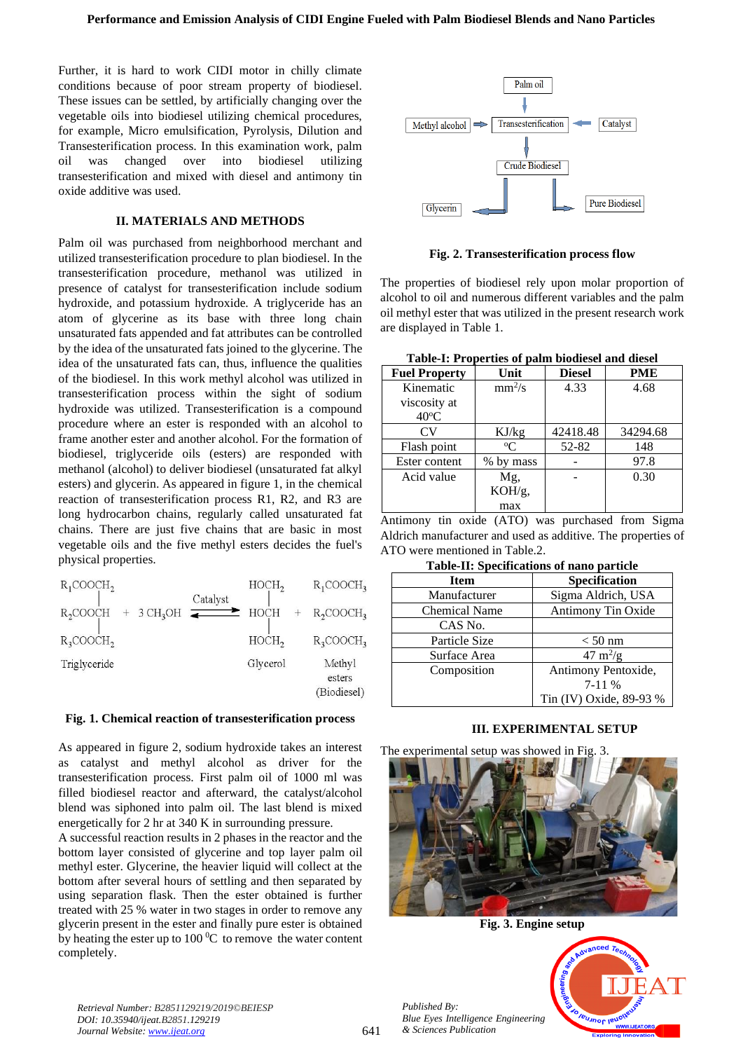Further, it is hard to work CIDI motor in chilly climate conditions because of poor stream property of biodiesel. These issues can be settled, by artificially changing over the vegetable oils into biodiesel utilizing chemical procedures, for example, Micro emulsification, Pyrolysis, Dilution and Transesterification process. In this examination work, palm oil was changed over into biodiesel utilizing transesterification and mixed with diesel and antimony tin oxide additive was used.

## **II. MATERIALS AND METHODS**

Palm oil was purchased from neighborhood merchant and utilized transesterification procedure to plan biodiesel. In the transesterification procedure, methanol was utilized in presence of catalyst for transesterification include sodium hydroxide, and potassium hydroxide. A triglyceride has an atom of glycerine as its base with three long chain unsaturated fats appended and fat attributes can be controlled by the idea of the unsaturated fats joined to the glycerine. The idea of the unsaturated fats can, thus, influence the qualities of the biodiesel. In this work methyl alcohol was utilized in transesterification process within the sight of sodium hydroxide was utilized. Transesterification is a compound procedure where an ester is responded with an alcohol to frame another ester and another alcohol. For the formation of biodiesel, triglyceride oils (esters) are responded with methanol (alcohol) to deliver biodiesel (unsaturated fat alkyl esters) and glycerin. As appeared in figure 1, in the chemical reaction of transesterification process R1, R2, and R3 are long hydrocarbon chains, regularly called unsaturated fat chains. There are just five chains that are basic in most vegetable oils and the five methyl esters decides the fuel's physical properties.

| $R_1$ COOC $H_2$                                        | HOCH,    | $R_1$ COOC $H_3$                |
|---------------------------------------------------------|----------|---------------------------------|
| Catalyst<br>$3 \text{ CH}_3$ OH<br>R <sub>2</sub> COOCH | HOCH     | $R_2$ COOC $H_3$                |
| $R_3$ COOCH <sub>2</sub>                                | HOCH,    | $R_3$ COOC $H_3$                |
| Triglyceride                                            | Glycerol | Methyl<br>esters<br>(Biodiesel) |

#### **Fig. 1. Chemical reaction of transesterification process**

As appeared in figure 2, sodium hydroxide takes an interest as catalyst and methyl alcohol as driver for the transesterification process. First palm oil of 1000 ml was filled biodiesel reactor and afterward, the catalyst/alcohol blend was siphoned into palm oil. The last blend is mixed energetically for 2 hr at 340 K in surrounding pressure.

A successful reaction results in 2 phases in the reactor and the bottom layer consisted of glycerine and top layer palm oil methyl ester. Glycerine, the heavier liquid will collect at the bottom after several hours of settling and then separated by using separation flask. Then the ester obtained is further treated with 25 % water in two stages in order to remove any glycerin present in the ester and finally pure ester is obtained by heating the ester up to  $100\degree C$  to remove the water content completely.



**Fig. 2. Transesterification process flow**

The properties of biodiesel rely upon molar proportion of alcohol to oil and numerous different variables and the palm oil methyl ester that was utilized in the present research work are displayed in Table 1.

| <b>Fuel Property</b> | Unit        | <b>Diesel</b> | <b>PME</b> |  |
|----------------------|-------------|---------------|------------|--|
| Kinematic            | $mm^2/s$    | 4.33          | 4.68       |  |
| viscosity at         |             |               |            |  |
| $40^{\circ}$ C       |             |               |            |  |
| $\rm{CV}$            | KJ/kg       | 42418.48      | 34294.68   |  |
| Flash point          | $\rm ^{o}C$ | 52-82         | 148        |  |
| Ester content        | % by mass   |               | 97.8       |  |
| Acid value           | Mg,         |               | 0.30       |  |
|                      | KOH/g,      |               |            |  |
|                      | max         |               |            |  |

Antimony tin oxide (ATO) was purchased from Sigma Aldrich manufacturer and used as additive. The properties of ATO were mentioned in Table.2.

**Table-II: Specifications of nano particle**

| <b>Item</b>          | <b>Specification</b>      |  |
|----------------------|---------------------------|--|
| Manufacturer         | Sigma Aldrich, USA        |  |
| <b>Chemical Name</b> | Antimony Tin Oxide        |  |
| CAS No.              |                           |  |
| Particle Size        | $< 50$ nm                 |  |
| Surface Area         | $47 \text{ m}^2/\text{g}$ |  |
| Composition          | Antimony Pentoxide,       |  |
|                      | $7-11%$                   |  |
|                      | Tin (IV) Oxide, 89-93 %   |  |

## **III. EXPERIMENTAL SETUP**

The experimental setup was showed in Fig. 3.



**Fig. 3. Engine setup**

*Retrieval Number: B2851129219/2019©BEIESP DOI: 10.35940/ijeat.B2851.129219 Journal Website: [www.ijeat.org](http://www.ijeat.org/)*

*Published By: Blue Eyes Intelligence Engineering & Sciences Publication* 

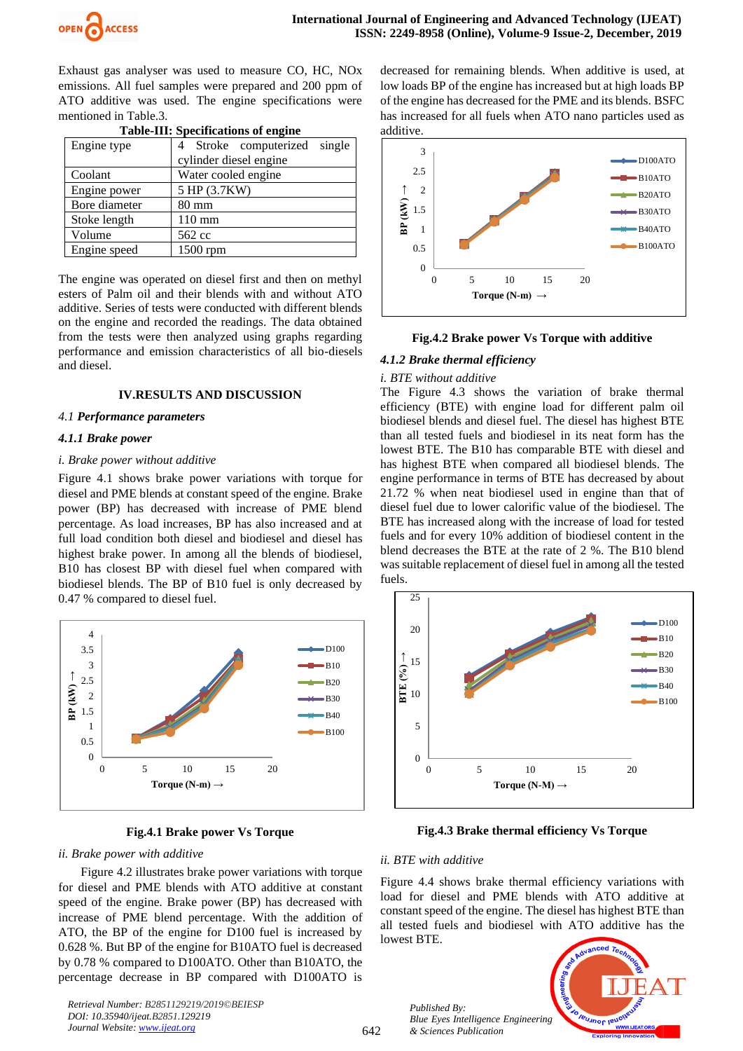

Exhaust gas analyser was used to measure CO, HC, NOx emissions. All fuel samples were prepared and 200 ppm of ATO additive was used. The engine specifications were mentioned in Table.3.

| Table-III, Specifications of chgine |                               |  |  |  |
|-------------------------------------|-------------------------------|--|--|--|
| Engine type                         | single<br>Stroke computerized |  |  |  |
|                                     | cylinder diesel engine        |  |  |  |
| Coolant                             | Water cooled engine           |  |  |  |
| Engine power                        | 5 HP (3.7KW)                  |  |  |  |
| Bore diameter                       | $80 \text{ mm}$               |  |  |  |
| Stoke length                        | $110 \text{ mm}$              |  |  |  |
| Volume                              | 562 cc                        |  |  |  |
| Engine speed                        | 1500 rpm                      |  |  |  |

**Table-III: Specifications of engine**

The engine was operated on diesel first and then on methyl esters of Palm oil and their blends with and without ATO additive. Series of tests were conducted with different blends on the engine and recorded the readings. The data obtained from the tests were then analyzed using graphs regarding performance and emission characteristics of all bio-diesels and diesel.

## **IV.RESULTS AND DISCUSSION**

## *4.1 Performance parameters*

## *4.1.1 Brake power*

## *i. Brake power without additive*

Figure 4.1 shows brake power variations with torque for diesel and PME blends at constant speed of the engine. Brake power (BP) has decreased with increase of PME blend percentage. As load increases, BP has also increased and at full load condition both diesel and biodiesel and diesel has highest brake power. In among all the blends of biodiesel, B10 has closest BP with diesel fuel when compared with biodiesel blends. The BP of B10 fuel is only decreased by 0.47 % compared to diesel fuel.



**Fig.4.1 Brake power Vs Torque**

#### *ii. Brake power with additive*

Figure 4.2 illustrates brake power variations with torque for diesel and PME blends with ATO additive at constant speed of the engine. Brake power (BP) has decreased with increase of PME blend percentage. With the addition of ATO, the BP of the engine for D100 fuel is increased by 0.628 %. But BP of the engine for B10ATO fuel is decreased by 0.78 % compared to D100ATO. Other than B10ATO, the percentage decrease in BP compared with D100ATO is

*Retrieval Number: B2851129219/2019©BEIESP DOI: 10.35940/ijeat.B2851.129219 Journal Website[: www.ijeat.org](http://www.ijeat.org/)*

decreased for remaining blends. When additive is used, at low loads BP of the engine has increased but at high loads BP of the engine has decreased for the PME and its blends. BSFC has increased for all fuels when ATO nano particles used as additive.



#### **Fig.4.2 Brake power Vs Torque with additive**

## *4.1.2 Brake thermal efficiency*

#### *i. BTE without additive*

The Figure 4.3 shows the variation of brake thermal efficiency (BTE) with engine load for different palm oil biodiesel blends and diesel fuel. The diesel has highest BTE than all tested fuels and biodiesel in its neat form has the lowest BTE. The B10 has comparable BTE with diesel and has highest BTE when compared all biodiesel blends. The engine performance in terms of BTE has decreased by about 21.72 % when neat biodiesel used in engine than that of diesel fuel due to lower calorific value of the biodiesel. The BTE has increased along with the increase of load for tested fuels and for every 10% addition of biodiesel content in the blend decreases the BTE at the rate of 2 %. The B10 blend was suitable replacement of diesel fuel in among all the tested fuels.



**Fig.4.3 Brake thermal efficiency Vs Torque**

#### *ii. BTE with additive*

Figure 4.4 shows brake thermal efficiency variations with load for diesel and PME blends with ATO additive at constant speed of the engine. The diesel has highest BTE than all tested fuels and biodiesel with ATO additive has the lowest BTE.





642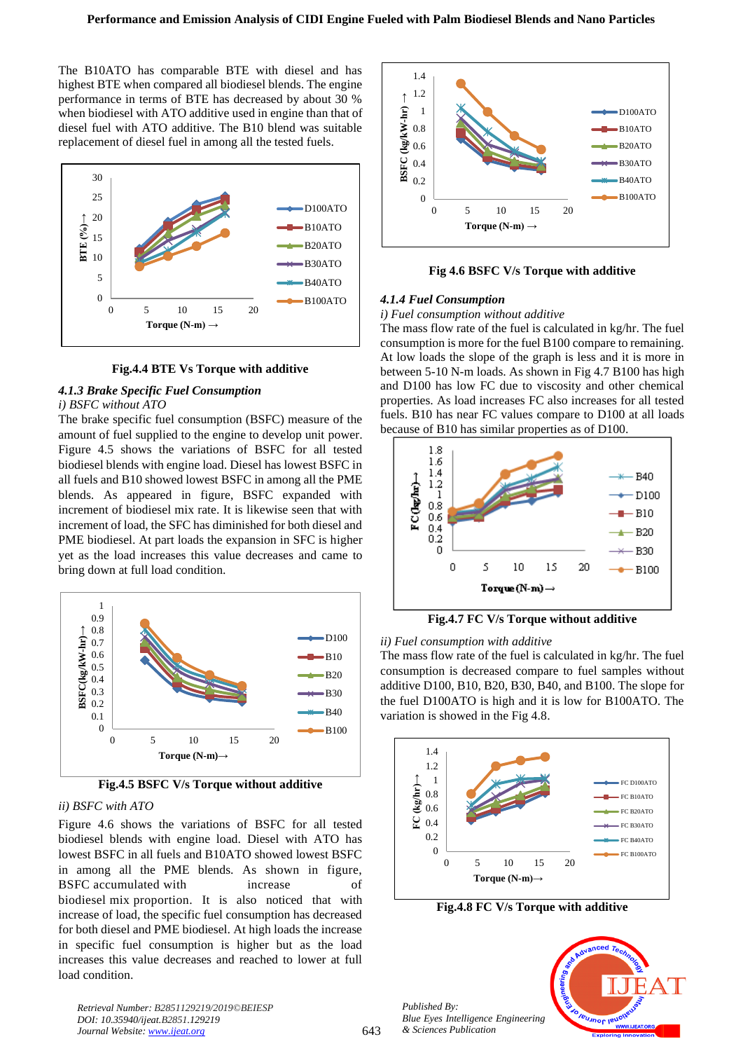The B10ATO has comparable BTE with diesel and has highest BTE when compared all biodiesel blends. The engine performance in terms of BTE has decreased by about 30 % when biodiesel with ATO additive used in engine than that of diesel fuel with ATO additive. The B10 blend was suitable replacement of diesel fuel in among all the tested fuels.



**Fig.4.4 BTE Vs Torque with additive**

# *4.1.3 Brake Specific Fuel Consumption*

#### *i) BSFC without ATO*

The brake specific fuel consumption (BSFC) measure of the amount of fuel supplied to the engine to develop unit power. Figure 4.5 shows the variations of BSFC for all tested biodiesel blends with engine load. Diesel has lowest BSFC in all fuels and B10 showed lowest BSFC in among all the PME blends. As appeared in figure, BSFC expanded with increment of biodiesel mix rate. It is likewise seen that with increment of load, the SFC has diminished for both diesel and PME biodiesel. At part loads the expansion in SFC is higher yet as the load increases this value decreases and came to bring down at full load condition.



**Fig.4.5 BSFC V/s Torque without additive**

## *ii) BSFC with ATO*

Figure 4.6 shows the variations of BSFC for all tested biodiesel blends with engine load. Diesel with ATO has lowest BSFC in all fuels and B10ATO showed lowest BSFC in among all the PME blends. As shown in figure, BSFC accumulated with increase of biodiesel mix proportion. It is also noticed that with increase of load, the specific fuel consumption has decreased for both diesel and PME biodiesel. At high loads the increase in specific fuel consumption is higher but as the load increases this value decreases and reached to lower at full load condition.



**Fig 4.6 BSFC V/s Torque with additive**

## *4.1.4 Fuel Consumption*

#### *i) Fuel consumption without additive*

The mass flow rate of the fuel is calculated in kg/hr. The fuel consumption is more for the fuel B100 compare to remaining. At low loads the slope of the graph is less and it is more in between 5-10 N-m loads. As shown in Fig 4.7 B100 has high and D100 has low FC due to viscosity and other chemical properties. As load increases FC also increases for all tested fuels. B10 has near FC values compare to D100 at all loads because of B10 has similar properties as of D100.



**Fig.4.7 FC V/s Torque without additive**

#### *ii) Fuel consumption with additive*

The mass flow rate of the fuel is calculated in kg/hr. The fuel consumption is decreased compare to fuel samples without additive D100, B10, B20, B30, B40, and B100. The slope for the fuel D100ATO is high and it is low for B100ATO. The variation is showed in the Fig 4.8.



**Fig.4.8 FC V/s Torque with additive**

*Published By: Blue Eyes Intelligence Engineering & Sciences Publication* 



*Retrieval Number: B2851129219/2019©BEIESP DOI: 10.35940/ijeat.B2851.129219 Journal Website: [www.ijeat.org](http://www.ijeat.org/)*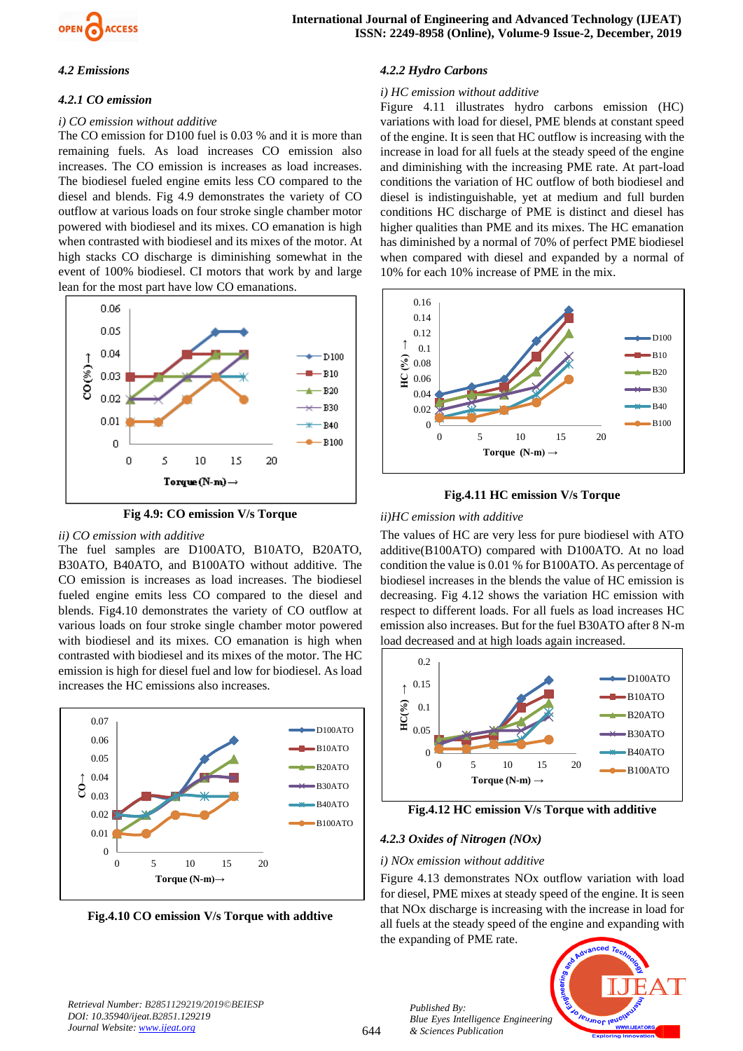

## *4.2 Emissions*

## *4.2.1 CO emission*

## *i) CO emission without additive*

The CO emission for D100 fuel is 0.03 % and it is more than remaining fuels. As load increases CO emission also increases. The CO emission is increases as load increases. The biodiesel fueled engine emits less CO compared to the diesel and blends. Fig 4.9 demonstrates the variety of CO outflow at various loads on four stroke single chamber motor powered with biodiesel and its mixes. CO emanation is high when contrasted with biodiesel and its mixes of the motor. At high stacks CO discharge is diminishing somewhat in the event of 100% biodiesel. CI motors that work by and large lean for the most part have low CO emanations.



**Fig 4.9: CO emission V/s Torque**

## *ii) CO emission with additive*

The fuel samples are D100ATO, B10ATO, B20ATO, B30ATO, B40ATO, and B100ATO without additive. The CO emission is increases as load increases. The biodiesel fueled engine emits less CO compared to the diesel and blends. Fig4.10 demonstrates the variety of CO outflow at various loads on four stroke single chamber motor powered with biodiesel and its mixes. CO emanation is high when contrasted with biodiesel and its mixes of the motor. The HC emission is high for diesel fuel and low for biodiesel. As load increases the HC emissions also increases.



**Fig.4.10 CO emission V/s Torque with addtive**

# *4.2.2 Hydro Carbons*

## *i) HC emission without additive*

Figure 4.11 illustrates hydro carbons emission (HC) variations with load for diesel, PME blends at constant speed of the engine. It is seen that HC outflow is increasing with the increase in load for all fuels at the steady speed of the engine and diminishing with the increasing PME rate. At part-load conditions the variation of HC outflow of both biodiesel and diesel is indistinguishable, yet at medium and full burden conditions HC discharge of PME is distinct and diesel has higher qualities than PME and its mixes. The HC emanation has diminished by a normal of 70% of perfect PME biodiesel when compared with diesel and expanded by a normal of 10% for each 10% increase of PME in the mix.





## *ii)HC emission with additive*

The values of HC are very less for pure biodiesel with ATO additive(B100ATO) compared with D100ATO. At no load condition the value is 0.01 % for B100ATO. As percentage of biodiesel increases in the blends the value of HC emission is decreasing. Fig 4.12 shows the variation HC emission with respect to different loads. For all fuels as load increases HC emission also increases. But for the fuel B30ATO after 8 N-m load decreased and at high loads again increased.



**Fig.4.12 HC emission V/s Torque with additive**

# *4.2.3 Oxides of Nitrogen (NOx)*

*Published By:*

*& Sciences Publication* 

## *i) NOx emission without additive*

Figure 4.13 demonstrates NOx outflow variation with load for diesel, PME mixes at steady speed of the engine. It is seen that NOx discharge is increasing with the increase in load for all fuels at the steady speed of the engine and expanding with the expanding of PME rate.



*Retrieval Number: B2851129219/2019©BEIESP DOI: 10.35940/ijeat.B2851.129219 Journal Website[: www.ijeat.org](http://www.ijeat.org/)*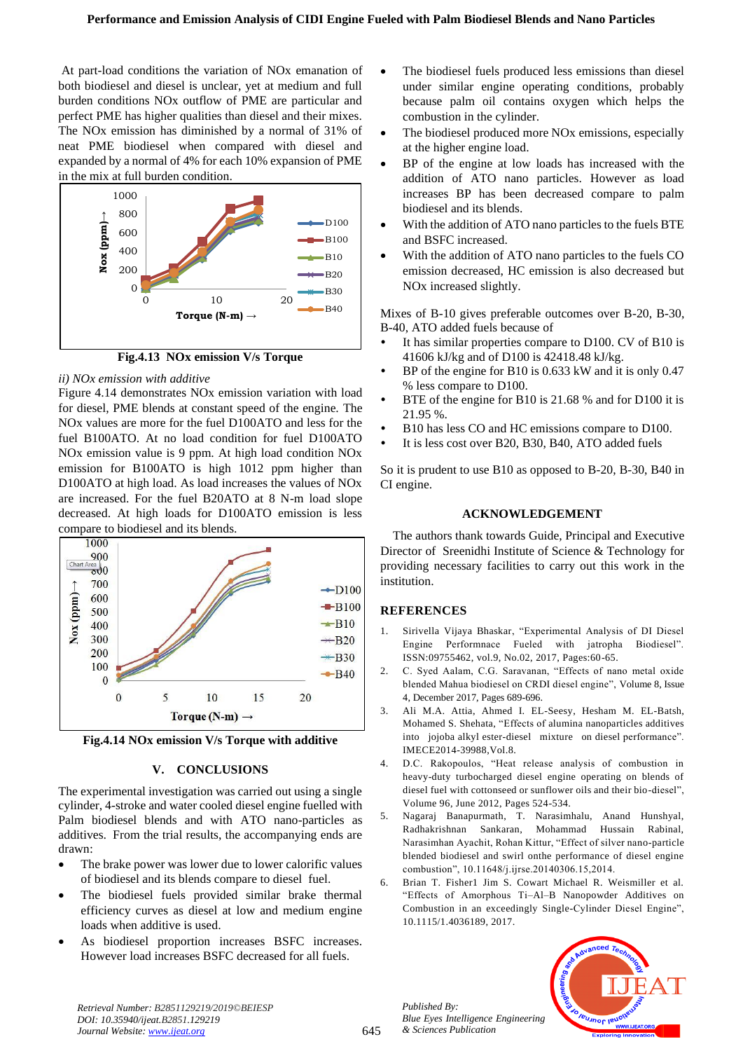At part-load conditions the variation of NOx emanation of both biodiesel and diesel is unclear, yet at medium and full burden conditions NOx outflow of PME are particular and perfect PME has higher qualities than diesel and their mixes. The NOx emission has diminished by a normal of 31% of neat PME biodiesel when compared with diesel and expanded by a normal of 4% for each 10% expansion of PME in the mix at full burden condition.



**Fig.4.13 NOx emission V/s Torque**

## *ii) NOx emission with additive*

Figure 4.14 demonstrates NOx emission variation with load for diesel, PME blends at constant speed of the engine. The NOx values are more for the fuel D100ATO and less for the fuel B100ATO. At no load condition for fuel D100ATO NOx emission value is 9 ppm. At high load condition NOx emission for B100ATO is high 1012 ppm higher than D100ATO at high load. As load increases the values of NOx are increased. For the fuel B20ATO at 8 N-m load slope decreased. At high loads for D100ATO emission is less compare to biodiesel and its blends.



**Fig.4.14 NOx emission V/s Torque with additive**

# **V. CONCLUSIONS**

The experimental investigation was carried out using a single cylinder, 4-stroke and water cooled diesel engine fuelled with Palm biodiesel blends and with ATO nano-particles as additives. From the trial results, the accompanying ends are drawn:

- The brake power was lower due to lower calorific values of biodiesel and its blends compare to diesel fuel.
- The biodiesel fuels provided similar brake thermal efficiency curves as diesel at low and medium engine loads when additive is used.
- As biodiesel proportion increases BSFC increases. However load increases BSFC decreased for all fuels.
- The biodiesel fuels produced less emissions than diesel under similar engine operating conditions, probably because palm oil contains oxygen which helps the combustion in the cylinder.
- The biodiesel produced more NO<sub>x</sub> emissions, especially at the higher engine load.
- BP of the engine at low loads has increased with the addition of ATO nano particles. However as load increases BP has been decreased compare to palm biodiesel and its blends.
- With the addition of ATO nano particles to the fuels BTE and BSFC increased.
- With the addition of ATO nano particles to the fuels CO emission decreased, HC emission is also decreased but NOx increased slightly.

Mixes of B-10 gives preferable outcomes over B-20, B-30, B-40, ATO added fuels because of

- It has similar properties compare to D100. CV of B10 is 41606 kJ/kg and of D100 is 42418.48 kJ/kg.
- BP of the engine for B10 is 0.633 kW and it is only 0.47 % less compare to D100.
- BTE of the engine for B10 is 21.68 % and for D100 it is 21.95 %.
- B10 has less CO and HC emissions compare to D100.
- It is less cost over B20, B30, B40, ATO added fuels

So it is prudent to use B10 as opposed to B-20, B-30, B40 in CI engine.

## **ACKNOWLEDGEMENT**

The authors thank towards Guide, Principal and Executive Director of Sreenidhi Institute of Science & Technology for providing necessary facilities to carry out this work in the institution.

## **REFERENCES**

- 1. Sirivella Vijaya Bhaskar, "Experimental Analysis of DI Diesel Engine Performnace Fueled with jatropha Biodiesel". ISSN:09755462, vol.9, No.02, 2017, Pages:60-65.
- 2. C. Syed Aalam, C.G. Saravanan, "Effects of nano metal oxide blended Mahua biodiesel on CRDI diesel engine", [Volume 8, Issue](https://www.sciencedirect.com/science/journal/20904479/8/4)  [4,](https://www.sciencedirect.com/science/journal/20904479/8/4) December 2017, Pages 689-696.
- 3. Ali M.A. Attia, Ahmed I. EL-Seesy, Hesham M. EL-Batsh, Mohamed S. Shehata, "Effects of alumina nanoparticles additives into jojoba alkyl ester-diesel mixture on diesel performance". IMECE2014-39988,Vol.8.
- 4. D.C. Rakopoulos, "Heat release analysis of combustion in heavy-duty turbocharged diesel engine operating on blends of diesel fuel with cottonseed or sunflower oils and their bio-diesel", Volume 96, June 2012, Pages 524-534.
- 5. Nagaraj Banapurmath, T. Narasimhalu, Anand Hunshyal, Radhakrishnan Sankaran, Mohammad Hussain Rabinal, Narasimhan Ayachit, Rohan Kittur, "Effect of silver nano-particle blended biodiesel and swirl onthe performance of diesel engine combustion", 10.11648/j.ijrse.20140306.15,2014.
- 6. Brian T. Fisher1 Jim S. Cowart Michael R. Weismiller et al. "Effects of Amorphous Ti–Al–B Nanopowder Additives on Combustion in an exceedingly Single-Cylinder Diesel Engine", 10.1115/1.4036189, 2017.



*Published By:*

*& Sciences Publication*